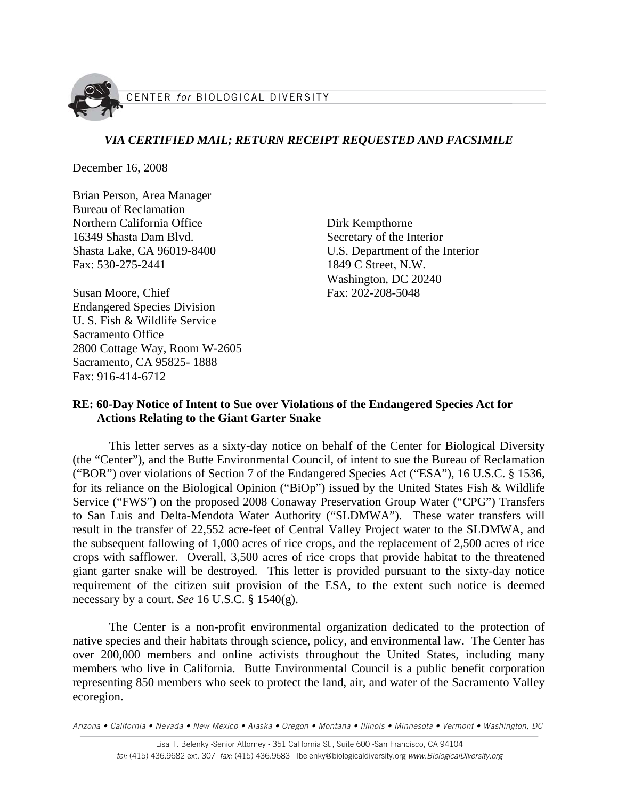

# *VIA CERTIFIED MAIL; RETURN RECEIPT REQUESTED AND FACSIMILE*

December 16, 2008

Brian Person, Area Manager Bureau of Reclamation Northern California Office 16349 Shasta Dam Blvd. Shasta Lake, CA 96019-8400 Fax: 530-275-2441

Susan Moore, Chief Endangered Species Division U. S. Fish & Wildlife Service Sacramento Office 2800 Cottage Way, Room W-2605 Sacramento, CA 95825- 1888 Fax: 916-414-6712

Dirk Kempthorne Secretary of the Interior U.S. Department of the Interior 1849 C Street, N.W. Washington, DC 20240 Fax: 202-208-5048

# **RE: 60-Day Notice of Intent to Sue over Violations of the Endangered Species Act for Actions Relating to the Giant Garter Snake**

This letter serves as a sixty-day notice on behalf of the Center for Biological Diversity (the "Center"), and the Butte Environmental Council, of intent to sue the Bureau of Reclamation ("BOR") over violations of Section 7 of the Endangered Species Act ("ESA"), 16 U.S.C. § 1536, for its reliance on the Biological Opinion ("BiOp") issued by the United States Fish & Wildlife Service ("FWS") on the proposed 2008 Conaway Preservation Group Water ("CPG") Transfers to San Luis and Delta-Mendota Water Authority ("SLDMWA"). These water transfers will result in the transfer of 22,552 acre-feet of Central Valley Project water to the SLDMWA, and the subsequent fallowing of 1,000 acres of rice crops, and the replacement of 2,500 acres of rice crops with safflower. Overall, 3,500 acres of rice crops that provide habitat to the threatened giant garter snake will be destroyed. This letter is provided pursuant to the sixty-day notice requirement of the citizen suit provision of the ESA, to the extent such notice is deemed necessary by a court. *See* 16 U.S.C. § 1540(g).

The Center is a non-profit environmental organization dedicated to the protection of native species and their habitats through science, policy, and environmental law. The Center has over 200,000 members and online activists throughout the United States, including many members who live in California. Butte Environmental Council is a public benefit corporation representing 850 members who seek to protect the land, air, and water of the Sacramento Valley ecoregion.

Arizona • California • Nevada • New Mexico • Alaska • Oregon • Montana • Illinois • Minnesota • Vermont • Washington, DC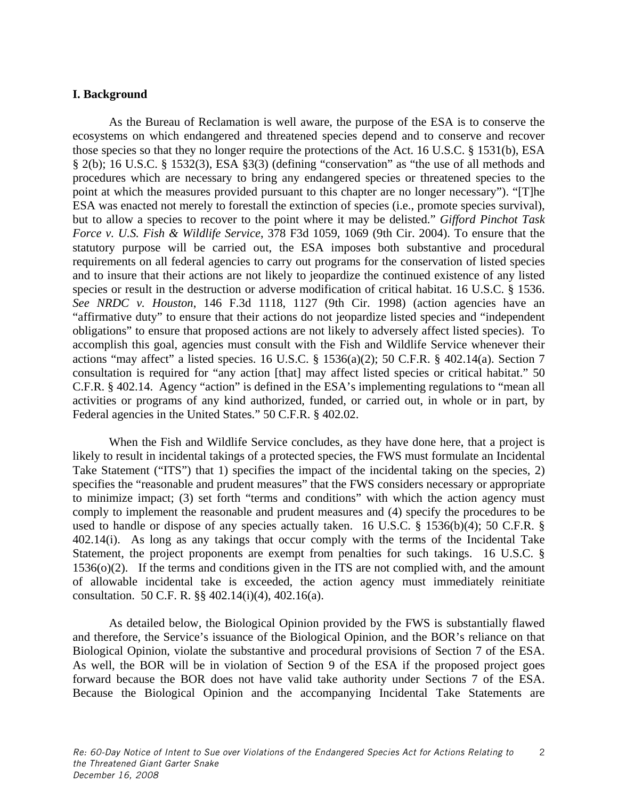# **I. Background**

As the Bureau of Reclamation is well aware, the purpose of the ESA is to conserve the ecosystems on which endangered and threatened species depend and to conserve and recover those species so that they no longer require the protections of the Act. 16 U.S.C. § 1531(b), ESA § 2(b); 16 U.S.C. § 1532(3), ESA §3(3) (defining "conservation" as "the use of all methods and procedures which are necessary to bring any endangered species or threatened species to the point at which the measures provided pursuant to this chapter are no longer necessary"). "[T]he ESA was enacted not merely to forestall the extinction of species (i.e., promote species survival), but to allow a species to recover to the point where it may be delisted." *Gifford Pinchot Task Force v. U.S. Fish & Wildlife Service*, 378 F3d 1059, 1069 (9th Cir. 2004). To ensure that the statutory purpose will be carried out, the ESA imposes both substantive and procedural requirements on all federal agencies to carry out programs for the conservation of listed species and to insure that their actions are not likely to jeopardize the continued existence of any listed species or result in the destruction or adverse modification of critical habitat. 16 U.S.C. § 1536. *See NRDC v. Houston*, 146 F.3d 1118, 1127 (9th Cir. 1998) (action agencies have an "affirmative duty" to ensure that their actions do not jeopardize listed species and "independent obligations" to ensure that proposed actions are not likely to adversely affect listed species). To accomplish this goal, agencies must consult with the Fish and Wildlife Service whenever their actions "may affect" a listed species. 16 U.S.C. § 1536(a)(2); 50 C.F.R. § 402.14(a). Section 7 consultation is required for "any action [that] may affect listed species or critical habitat." 50 C.F.R. § 402.14. Agency "action" is defined in the ESA's implementing regulations to "mean all activities or programs of any kind authorized, funded, or carried out, in whole or in part, by Federal agencies in the United States." 50 C.F.R. § 402.02.

When the Fish and Wildlife Service concludes, as they have done here, that a project is likely to result in incidental takings of a protected species, the FWS must formulate an Incidental Take Statement ("ITS") that 1) specifies the impact of the incidental taking on the species, 2) specifies the "reasonable and prudent measures" that the FWS considers necessary or appropriate to minimize impact; (3) set forth "terms and conditions" with which the action agency must comply to implement the reasonable and prudent measures and (4) specify the procedures to be used to handle or dispose of any species actually taken. 16 U.S.C. § 1536(b)(4); 50 C.F.R. § 402.14(i). As long as any takings that occur comply with the terms of the Incidental Take Statement, the project proponents are exempt from penalties for such takings. 16 U.S.C. § 1536(o)(2). If the terms and conditions given in the ITS are not complied with, and the amount of allowable incidental take is exceeded, the action agency must immediately reinitiate consultation. 50 C.F. R. §§ 402.14(i)(4), 402.16(a).

As detailed below, the Biological Opinion provided by the FWS is substantially flawed and therefore, the Service's issuance of the Biological Opinion, and the BOR's reliance on that Biological Opinion, violate the substantive and procedural provisions of Section 7 of the ESA. As well, the BOR will be in violation of Section 9 of the ESA if the proposed project goes forward because the BOR does not have valid take authority under Sections 7 of the ESA. Because the Biological Opinion and the accompanying Incidental Take Statements are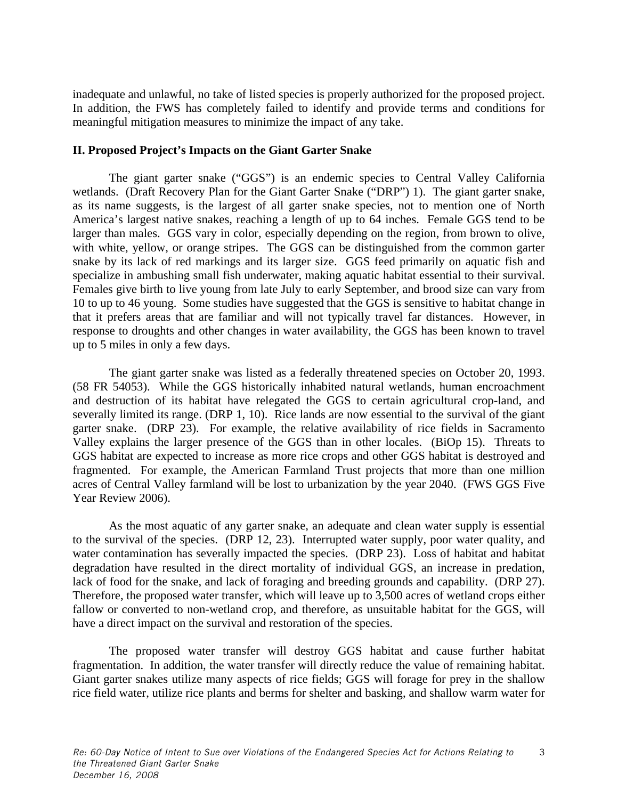inadequate and unlawful, no take of listed species is properly authorized for the proposed project. In addition, the FWS has completely failed to identify and provide terms and conditions for meaningful mitigation measures to minimize the impact of any take.

# **II. Proposed Project's Impacts on the Giant Garter Snake**

The giant garter snake ("GGS") is an endemic species to Central Valley California wetlands. (Draft Recovery Plan for the Giant Garter Snake ("DRP") 1). The giant garter snake, as its name suggests, is the largest of all garter snake species, not to mention one of North America's largest native snakes, reaching a length of up to 64 inches. Female GGS tend to be larger than males. GGS vary in color, especially depending on the region, from brown to olive, with white, yellow, or orange stripes. The GGS can be distinguished from the common garter snake by its lack of red markings and its larger size. GGS feed primarily on aquatic fish and specialize in ambushing small fish underwater, making aquatic habitat essential to their survival. Females give birth to live young from late July to early September, and brood size can vary from 10 to up to 46 young. Some studies have suggested that the GGS is sensitive to habitat change in that it prefers areas that are familiar and will not typically travel far distances. However, in response to droughts and other changes in water availability, the GGS has been known to travel up to 5 miles in only a few days.

The giant garter snake was listed as a federally threatened species on October 20, 1993. (58 FR 54053). While the GGS historically inhabited natural wetlands, human encroachment and destruction of its habitat have relegated the GGS to certain agricultural crop-land, and severally limited its range. (DRP 1, 10). Rice lands are now essential to the survival of the giant garter snake. (DRP 23). For example, the relative availability of rice fields in Sacramento Valley explains the larger presence of the GGS than in other locales. (BiOp 15). Threats to GGS habitat are expected to increase as more rice crops and other GGS habitat is destroyed and fragmented. For example, the American Farmland Trust projects that more than one million acres of Central Valley farmland will be lost to urbanization by the year 2040. (FWS GGS Five Year Review 2006).

As the most aquatic of any garter snake, an adequate and clean water supply is essential to the survival of the species. (DRP 12, 23). Interrupted water supply, poor water quality, and water contamination has severally impacted the species. (DRP 23). Loss of habitat and habitat degradation have resulted in the direct mortality of individual GGS, an increase in predation, lack of food for the snake, and lack of foraging and breeding grounds and capability. (DRP 27). Therefore, the proposed water transfer, which will leave up to 3,500 acres of wetland crops either fallow or converted to non-wetland crop, and therefore, as unsuitable habitat for the GGS, will have a direct impact on the survival and restoration of the species.

The proposed water transfer will destroy GGS habitat and cause further habitat fragmentation. In addition, the water transfer will directly reduce the value of remaining habitat. Giant garter snakes utilize many aspects of rice fields; GGS will forage for prey in the shallow rice field water, utilize rice plants and berms for shelter and basking, and shallow warm water for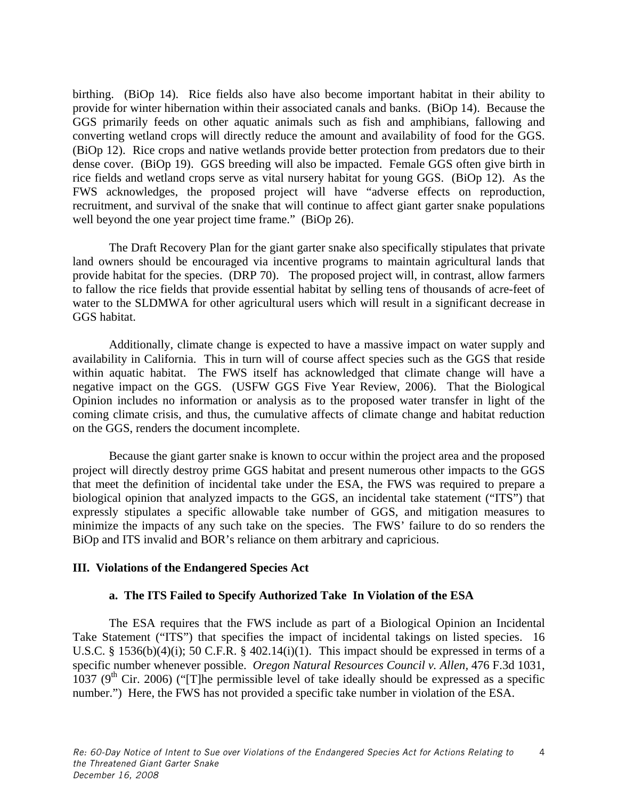birthing. (BiOp 14). Rice fields also have also become important habitat in their ability to provide for winter hibernation within their associated canals and banks. (BiOp 14). Because the GGS primarily feeds on other aquatic animals such as fish and amphibians, fallowing and converting wetland crops will directly reduce the amount and availability of food for the GGS. (BiOp 12). Rice crops and native wetlands provide better protection from predators due to their dense cover. (BiOp 19). GGS breeding will also be impacted. Female GGS often give birth in rice fields and wetland crops serve as vital nursery habitat for young GGS. (BiOp 12). As the FWS acknowledges, the proposed project will have "adverse effects on reproduction, recruitment, and survival of the snake that will continue to affect giant garter snake populations well beyond the one year project time frame." (BiOp 26).

The Draft Recovery Plan for the giant garter snake also specifically stipulates that private land owners should be encouraged via incentive programs to maintain agricultural lands that provide habitat for the species. (DRP 70). The proposed project will, in contrast, allow farmers to fallow the rice fields that provide essential habitat by selling tens of thousands of acre-feet of water to the SLDMWA for other agricultural users which will result in a significant decrease in GGS habitat.

Additionally, climate change is expected to have a massive impact on water supply and availability in California. This in turn will of course affect species such as the GGS that reside within aquatic habitat. The FWS itself has acknowledged that climate change will have a negative impact on the GGS. (USFW GGS Five Year Review, 2006). That the Biological Opinion includes no information or analysis as to the proposed water transfer in light of the coming climate crisis, and thus, the cumulative affects of climate change and habitat reduction on the GGS, renders the document incomplete.

Because the giant garter snake is known to occur within the project area and the proposed project will directly destroy prime GGS habitat and present numerous other impacts to the GGS that meet the definition of incidental take under the ESA, the FWS was required to prepare a biological opinion that analyzed impacts to the GGS, an incidental take statement ("ITS") that expressly stipulates a specific allowable take number of GGS, and mitigation measures to minimize the impacts of any such take on the species. The FWS' failure to do so renders the BiOp and ITS invalid and BOR's reliance on them arbitrary and capricious.

# **III. Violations of the Endangered Species Act**

# **a. The ITS Failed to Specify Authorized Take In Violation of the ESA**

The ESA requires that the FWS include as part of a Biological Opinion an Incidental Take Statement ("ITS") that specifies the impact of incidental takings on listed species. 16 U.S.C. § 1536(b)(4)(i); 50 C.F.R. § 402.14(i)(1). This impact should be expressed in terms of a specific number whenever possible. *Oregon Natural Resources Council v. Allen,* 476 F.3d 1031, 1037 ( $9<sup>th</sup>$  Cir. 2006) ("[T]he permissible level of take ideally should be expressed as a specific number.") Here, the FWS has not provided a specific take number in violation of the ESA.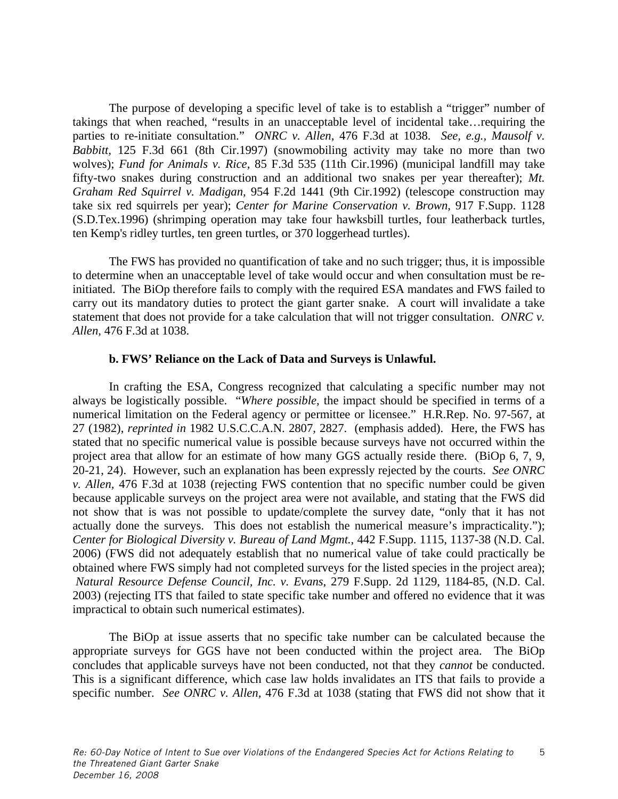The purpose of developing a specific level of take is to establish a "trigger" number of takings that when reached, "results in an unacceptable level of incidental take…requiring the parties to re-initiate consultation." *ONRC v. Allen,* 476 F.3d at 1038. *See, e.g., Mausolf v. Babbitt,* 125 F.3d 661 (8th Cir.1997) (snowmobiling activity may take no more than two wolves); *Fund for Animals v. Rice,* 85 F.3d 535 (11th Cir.1996) (municipal landfill may take fifty-two snakes during construction and an additional two snakes per year thereafter); *Mt. Graham Red Squirrel v. Madigan,* 954 F.2d 1441 (9th Cir.1992) (telescope construction may take six red squirrels per year); *Center for Marine Conservation v. Brown,* 917 F.Supp. 1128 (S.D.Tex.1996) (shrimping operation may take four hawksbill turtles, four leatherback turtles, ten Kemp's ridley turtles, ten green turtles, or 370 loggerhead turtles).

The FWS has provided no quantification of take and no such trigger; thus, it is impossible to determine when an unacceptable level of take would occur and when consultation must be reinitiated. The BiOp therefore fails to comply with the required ESA mandates and FWS failed to carry out its mandatory duties to protect the giant garter snake. A court will invalidate a take statement that does not provide for a take calculation that will not trigger consultation. *ONRC v. Allen,* 476 F.3d at 1038.

#### **b. FWS' Reliance on the Lack of Data and Surveys is Unlawful.**

In crafting the ESA, Congress recognized that calculating a specific number may not always be logistically possible. "*Where possible*, the impact should be specified in terms of a numerical limitation on the Federal agency or permittee or licensee." H.R.Rep. No. 97-567, at 27 (1982), *reprinted in* 1982 U.S.C.C.A.N. 2807, 2827. (emphasis added). Here, the FWS has stated that no specific numerical value is possible because surveys have not occurred within the project area that allow for an estimate of how many GGS actually reside there. (BiOp 6, 7, 9, 20-21, 24). However, such an explanation has been expressly rejected by the courts. *See ONRC v. Allen,* 476 F.3d at 1038 (rejecting FWS contention that no specific number could be given because applicable surveys on the project area were not available, and stating that the FWS did not show that is was not possible to update/complete the survey date, "only that it has not actually done the surveys. This does not establish the numerical measure's impracticality."); *Center for Biological Diversity v. Bureau of Land Mgmt.*, 442 F.Supp. 1115, 1137-38 (N.D. Cal. 2006) (FWS did not adequately establish that no numerical value of take could practically be obtained where FWS simply had not completed surveys for the listed species in the project area); *Natural Resource Defense Council, Inc. v. Evans*, 279 F.Supp. 2d 1129, 1184-85, (N.D. Cal. 2003) (rejecting ITS that failed to state specific take number and offered no evidence that it was impractical to obtain such numerical estimates).

The BiOp at issue asserts that no specific take number can be calculated because the appropriate surveys for GGS have not been conducted within the project area. The BiOp concludes that applicable surveys have not been conducted, not that they *cannot* be conducted. This is a significant difference, which case law holds invalidates an ITS that fails to provide a specific number. *See ONRC v. Allen,* 476 F.3d at 1038 (stating that FWS did not show that it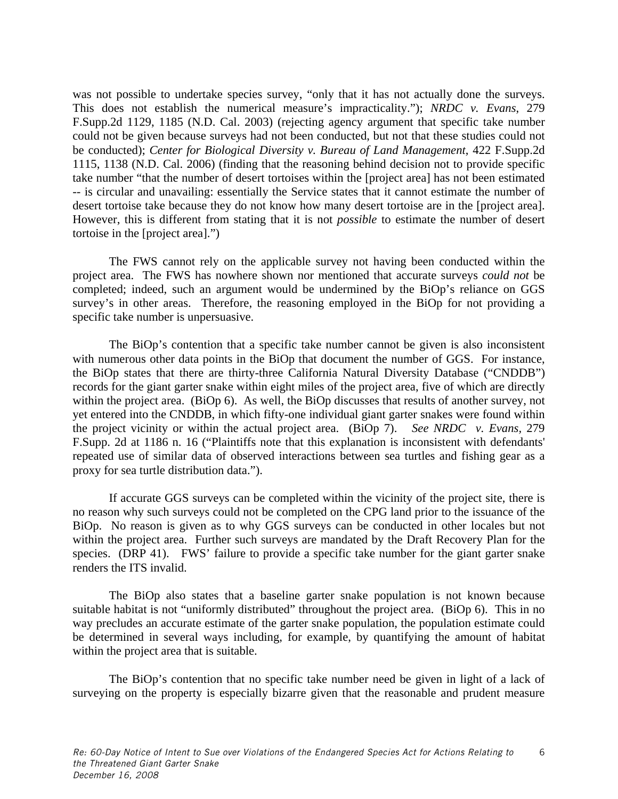was not possible to undertake species survey, "only that it has not actually done the surveys. This does not establish the numerical measure's impracticality."); *NRDC v. Evans*, 279 F.Supp.2d 1129, 1185 (N.D. Cal. 2003) (rejecting agency argument that specific take number could not be given because surveys had not been conducted, but not that these studies could not be conducted); *Center for Biological Diversity v. Bureau of Land Management*, 422 F.Supp.2d 1115, 1138 (N.D. Cal. 2006) (finding that the reasoning behind decision not to provide specific take number "that the number of desert tortoises within the [project area] has not been estimated -- is circular and unavailing: essentially the Service states that it cannot estimate the number of desert tortoise take because they do not know how many desert tortoise are in the [project area]. However, this is different from stating that it is not *possible* to estimate the number of desert tortoise in the [project area].")

The FWS cannot rely on the applicable survey not having been conducted within the project area. The FWS has nowhere shown nor mentioned that accurate surveys *could not* be completed; indeed, such an argument would be undermined by the BiOp's reliance on GGS survey's in other areas. Therefore, the reasoning employed in the BiOp for not providing a specific take number is unpersuasive.

The BiOp's contention that a specific take number cannot be given is also inconsistent with numerous other data points in the BiOp that document the number of GGS. For instance, the BiOp states that there are thirty-three California Natural Diversity Database ("CNDDB") records for the giant garter snake within eight miles of the project area, five of which are directly within the project area. (BiOp 6). As well, the BiOp discusses that results of another survey, not yet entered into the CNDDB, in which fifty-one individual giant garter snakes were found within the project vicinity or within the actual project area. (BiOp 7). *See NRDC v. Evans,* 279 F.Supp. 2d at 1186 n. 16 ("Plaintiffs note that this explanation is inconsistent with defendants' repeated use of similar data of observed interactions between sea turtles and fishing gear as a proxy for sea turtle distribution data.").

If accurate GGS surveys can be completed within the vicinity of the project site, there is no reason why such surveys could not be completed on the CPG land prior to the issuance of the BiOp. No reason is given as to why GGS surveys can be conducted in other locales but not within the project area. Further such surveys are mandated by the Draft Recovery Plan for the species. (DRP 41). FWS' failure to provide a specific take number for the giant garter snake renders the ITS invalid.

The BiOp also states that a baseline garter snake population is not known because suitable habitat is not "uniformly distributed" throughout the project area. (BiOp 6). This in no way precludes an accurate estimate of the garter snake population, the population estimate could be determined in several ways including, for example, by quantifying the amount of habitat within the project area that is suitable.

The BiOp's contention that no specific take number need be given in light of a lack of surveying on the property is especially bizarre given that the reasonable and prudent measure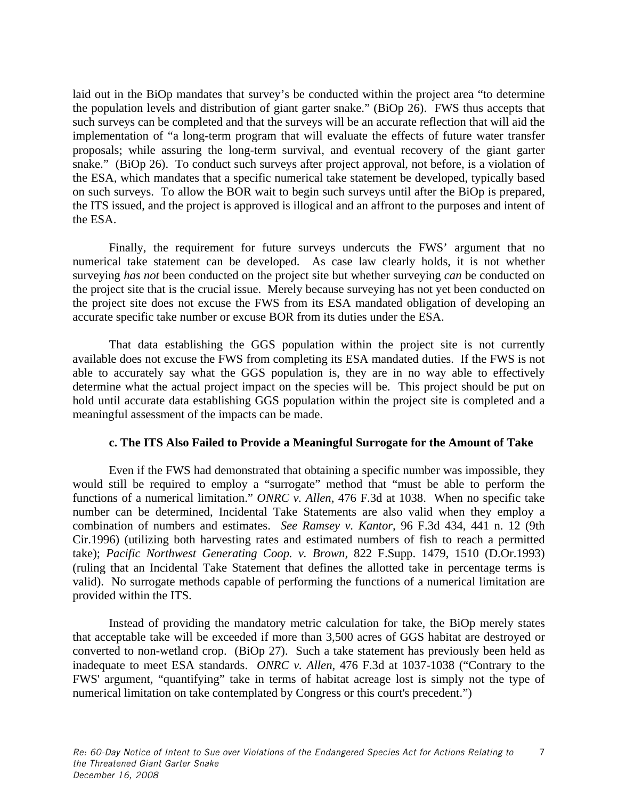laid out in the BiOp mandates that survey's be conducted within the project area "to determine the population levels and distribution of giant garter snake." (BiOp 26). FWS thus accepts that such surveys can be completed and that the surveys will be an accurate reflection that will aid the implementation of "a long-term program that will evaluate the effects of future water transfer proposals; while assuring the long-term survival, and eventual recovery of the giant garter snake." (BiOp 26). To conduct such surveys after project approval, not before, is a violation of the ESA, which mandates that a specific numerical take statement be developed, typically based on such surveys. To allow the BOR wait to begin such surveys until after the BiOp is prepared, the ITS issued, and the project is approved is illogical and an affront to the purposes and intent of the ESA.

Finally, the requirement for future surveys undercuts the FWS' argument that no numerical take statement can be developed. As case law clearly holds, it is not whether surveying *has not* been conducted on the project site but whether surveying *can* be conducted on the project site that is the crucial issue. Merely because surveying has not yet been conducted on the project site does not excuse the FWS from its ESA mandated obligation of developing an accurate specific take number or excuse BOR from its duties under the ESA.

That data establishing the GGS population within the project site is not currently available does not excuse the FWS from completing its ESA mandated duties. If the FWS is not able to accurately say what the GGS population is, they are in no way able to effectively determine what the actual project impact on the species will be. This project should be put on hold until accurate data establishing GGS population within the project site is completed and a meaningful assessment of the impacts can be made.

# **c. The ITS Also Failed to Provide a Meaningful Surrogate for the Amount of Take**

Even if the FWS had demonstrated that obtaining a specific number was impossible, they would still be required to employ a "surrogate" method that "must be able to perform the functions of a numerical limitation." *ONRC v. Allen*, 476 F.3d at 1038. When no specific take number can be determined, Incidental Take Statements are also valid when they employ a combination of numbers and estimates. *See Ramsey v. Kantor,* 96 F.3d 434, 441 n. 12 (9th Cir.1996) (utilizing both harvesting rates and estimated numbers of fish to reach a permitted take); *Pacific Northwest Generating Coop. v. Brown,* 822 F.Supp. 1479, 1510 (D.Or.1993) (ruling that an Incidental Take Statement that defines the allotted take in percentage terms is valid). No surrogate methods capable of performing the functions of a numerical limitation are provided within the ITS.

Instead of providing the mandatory metric calculation for take, the BiOp merely states that acceptable take will be exceeded if more than 3,500 acres of GGS habitat are destroyed or converted to non-wetland crop. (BiOp 27). Such a take statement has previously been held as inadequate to meet ESA standards. *ONRC v. Allen*, 476 F.3d at 1037-1038 ("Contrary to the FWS' argument, "quantifying" take in terms of habitat acreage lost is simply not the type of numerical limitation on take contemplated by Congress or this court's precedent.")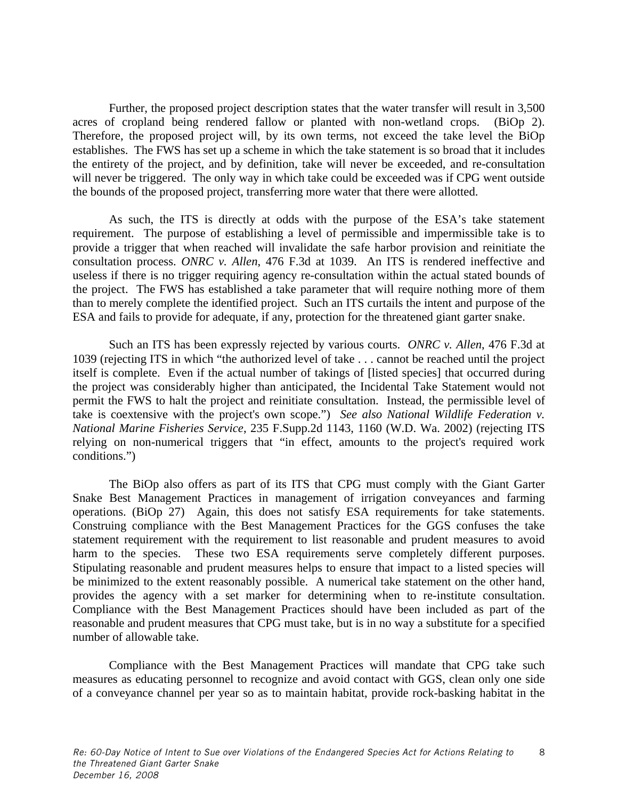Further, the proposed project description states that the water transfer will result in 3,500 acres of cropland being rendered fallow or planted with non-wetland crops. (BiOp 2). Therefore, the proposed project will, by its own terms, not exceed the take level the BiOp establishes. The FWS has set up a scheme in which the take statement is so broad that it includes the entirety of the project, and by definition, take will never be exceeded, and re-consultation will never be triggered. The only way in which take could be exceeded was if CPG went outside the bounds of the proposed project, transferring more water that there were allotted.

As such, the ITS is directly at odds with the purpose of the ESA's take statement requirement. The purpose of establishing a level of permissible and impermissible take is to provide a trigger that when reached will invalidate the safe harbor provision and reinitiate the consultation process. *ONRC v. Allen*, 476 F.3d at 1039. An ITS is rendered ineffective and useless if there is no trigger requiring agency re-consultation within the actual stated bounds of the project. The FWS has established a take parameter that will require nothing more of them than to merely complete the identified project. Such an ITS curtails the intent and purpose of the ESA and fails to provide for adequate, if any, protection for the threatened giant garter snake.

Such an ITS has been expressly rejected by various courts. *ONRC v. Allen*, 476 F.3d at 1039 (rejecting ITS in which "the authorized level of take . . . cannot be reached until the project itself is complete. Even if the actual number of takings of [listed species] that occurred during the project was considerably higher than anticipated, the Incidental Take Statement would not permit the FWS to halt the project and reinitiate consultation. Instead, the permissible level of take is coextensive with the project's own scope.") *See also National Wildlife Federation v. National Marine Fisheries Service*, 235 F.Supp.2d 1143, 1160 (W.D. Wa. 2002) (rejecting ITS relying on non-numerical triggers that "in effect, amounts to the project's required work conditions.")

The BiOp also offers as part of its ITS that CPG must comply with the Giant Garter Snake Best Management Practices in management of irrigation conveyances and farming operations. (BiOp 27) Again, this does not satisfy ESA requirements for take statements. Construing compliance with the Best Management Practices for the GGS confuses the take statement requirement with the requirement to list reasonable and prudent measures to avoid harm to the species. These two ESA requirements serve completely different purposes. Stipulating reasonable and prudent measures helps to ensure that impact to a listed species will be minimized to the extent reasonably possible. A numerical take statement on the other hand, provides the agency with a set marker for determining when to re-institute consultation. Compliance with the Best Management Practices should have been included as part of the reasonable and prudent measures that CPG must take, but is in no way a substitute for a specified number of allowable take.

Compliance with the Best Management Practices will mandate that CPG take such measures as educating personnel to recognize and avoid contact with GGS, clean only one side of a conveyance channel per year so as to maintain habitat, provide rock-basking habitat in the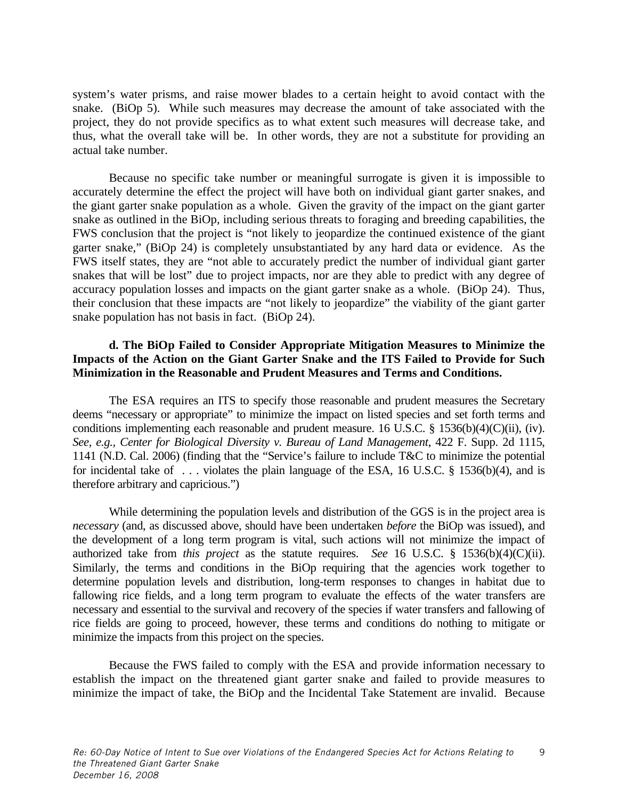system's water prisms, and raise mower blades to a certain height to avoid contact with the snake. (BiOp 5). While such measures may decrease the amount of take associated with the project, they do not provide specifics as to what extent such measures will decrease take, and thus, what the overall take will be. In other words, they are not a substitute for providing an actual take number.

Because no specific take number or meaningful surrogate is given it is impossible to accurately determine the effect the project will have both on individual giant garter snakes, and the giant garter snake population as a whole. Given the gravity of the impact on the giant garter snake as outlined in the BiOp, including serious threats to foraging and breeding capabilities, the FWS conclusion that the project is "not likely to jeopardize the continued existence of the giant garter snake," (BiOp 24) is completely unsubstantiated by any hard data or evidence. As the FWS itself states, they are "not able to accurately predict the number of individual giant garter snakes that will be lost" due to project impacts, nor are they able to predict with any degree of accuracy population losses and impacts on the giant garter snake as a whole. (BiOp 24). Thus, their conclusion that these impacts are "not likely to jeopardize" the viability of the giant garter snake population has not basis in fact. (BiOp 24).

# **d. The BiOp Failed to Consider Appropriate Mitigation Measures to Minimize the Impacts of the Action on the Giant Garter Snake and the ITS Failed to Provide for Such Minimization in the Reasonable and Prudent Measures and Terms and Conditions.**

The ESA requires an ITS to specify those reasonable and prudent measures the Secretary deems "necessary or appropriate" to minimize the impact on listed species and set forth terms and conditions implementing each reasonable and prudent measure. 16 U.S.C. § 1536(b)(4)(C)(ii), (iv). *See, e.g., Center for Biological Diversity v. Bureau of Land Management*, 422 F. Supp. 2d 1115, 1141 (N.D. Cal. 2006) (finding that the "Service's failure to include T&C to minimize the potential for incidental take of . . . violates the plain language of the ESA, 16 U.S.C. § 1536(b)(4), and is therefore arbitrary and capricious.")

While determining the population levels and distribution of the GGS is in the project area is *necessary* (and, as discussed above, should have been undertaken *before* the BiOp was issued), and the development of a long term program is vital, such actions will not minimize the impact of authorized take from *this project* as the statute requires. *See* 16 U.S.C. § 1536(b)(4)(C)(ii). Similarly, the terms and conditions in the BiOp requiring that the agencies work together to determine population levels and distribution, long-term responses to changes in habitat due to fallowing rice fields, and a long term program to evaluate the effects of the water transfers are necessary and essential to the survival and recovery of the species if water transfers and fallowing of rice fields are going to proceed, however, these terms and conditions do nothing to mitigate or minimize the impacts from this project on the species.

Because the FWS failed to comply with the ESA and provide information necessary to establish the impact on the threatened giant garter snake and failed to provide measures to minimize the impact of take, the BiOp and the Incidental Take Statement are invalid. Because